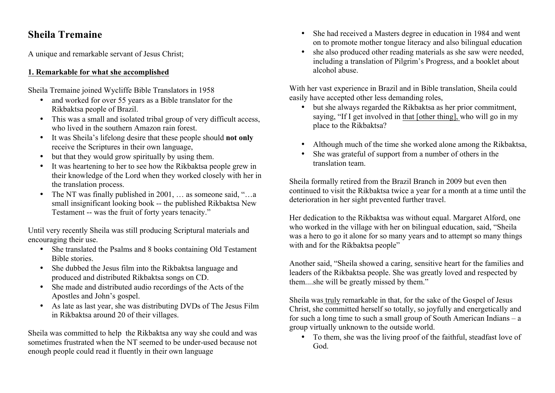# **Sheila Tremaine**

A unique and remarkable servant of Jesus Christ;

## **1. Remarkable for what she accomplished**

Sheila Tremaine joined Wycliffe Bible Translators in 1958

- and worked for over 55 years as a Bible translator for the Rikbaktsa people of Brazil.
- This was a small and isolated tribal group of very difficult access, who lived in the southern Amazon rain forest.
- It was Sheila's lifelong desire that these people should **not only** receive the Scriptures in their own language,
- but that they would grow spiritually by using them.
- It was heartening to her to see how the Rikbaktsa people grew in their knowledge of the Lord when they worked closely with her in the translation process.
- The NT was finally published in 2001, ... as someone said, "...a small insignificant looking book -- the published Rikbaktsa New Testament -- was the fruit of forty years tenacity."

Until very recently Sheila was still producing Scriptural materials and encouraging their use.

- She translated the Psalms and 8 books containing Old Testament Bible stories.
- She dubbed the Jesus film into the Rikbaktsa language and produced and distributed Rikbaktsa songs on CD.
- She made and distributed audio recordings of the Acts of the Apostles and John's gospel.
- As late as last year, she was distributing DVDs of The Jesus Film in Rikbaktsa around 20 of their villages.

Sheila was committed to help the Rikbaktsa any way she could and was sometimes frustrated when the NT seemed to be under-used because not enough people could read it fluently in their own language

- She had received a Masters degree in education in 1984 and went on to promote mother tongue literacy and also bilingual education
- she also produced other reading materials as she saw were needed, including a translation of Pilgrim's Progress, and a booklet about alcohol abuse.

With her vast experience in Brazil and in Bible translation, Sheila could easily have accepted other less demanding roles,

- but she always regarded the Rikbaktsa as her prior commitment, saying, "If I get involved in that [other thing], who will go in my place to the Rikbaktsa?
- Although much of the time she worked alone among the Rikbaktsa,
- She was grateful of support from a number of others in the translation team.

Sheila formally retired from the Brazil Branch in 2009 but even then continued to visit the Rikbaktsa twice a year for a month at a time until the deterioration in her sight prevented further travel.

Her dedication to the Rikbaktsa was without equal. Margaret Alford, one who worked in the village with her on bilingual education, said, "Sheila was a hero to go it alone for so many years and to attempt so many things with and for the Rikbaktsa people"

Another said, "Sheila showed a caring, sensitive heart for the families and leaders of the Rikbaktsa people. She was greatly loved and respected by them....she will be greatly missed by them."

Sheila was truly remarkable in that, for the sake of the Gospel of Jesus Christ, she committed herself so totally, so joyfully and energetically and for such a long time to such a small group of South American Indians – a group virtually unknown to the outside world.

• To them, she was the living proof of the faithful, steadfast love of God.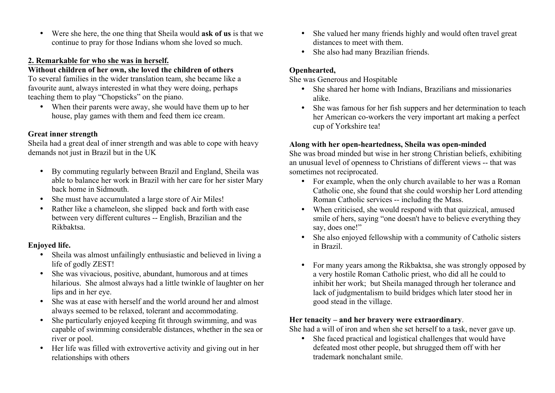• Were she here, the one thing that Sheila would **ask of us** is that we continue to pray for those Indians whom she loved so much.

## **2. Remarkable for who she was in herself.**

## **Without children of her own, she loved the children of others**

To several families in the wider translation team, she became like a favourite aunt, always interested in what they were doing, perhaps teaching them to play "Chopsticks" on the piano.

• When their parents were away, she would have them up to her house, play games with them and feed them ice cream.

# **Great inner strength**

Sheila had a great deal of inner strength and was able to cope with heavy demands not just in Brazil but in the UK

- By commuting regularly between Brazil and England, Sheila was able to balance her work in Brazil with her care for her sister Mary back home in Sidmouth.
- She must have accumulated a large store of Air Miles!
- Rather like a chameleon, she slipped back and forth with ease between very different cultures -- English, Brazilian and the Rikbaktsa.

# **Enjoyed life.**

- Sheila was almost unfailingly enthusiastic and believed in living a life of godly ZEST!
- She was vivacious, positive, abundant, humorous and at times hilarious. She almost always had a little twinkle of laughter on her lips and in her eye.
- She was at ease with herself and the world around her and almost always seemed to be relaxed, tolerant and accommodating.
- She particularly enjoyed keeping fit through swimming, and was capable of swimming considerable distances, whether in the sea or river or pool.
- Her life was filled with extrovertive activity and giving out in her relationships with others
- She valued her many friends highly and would often travel great distances to meet with them.
- She also had many Brazilian friends.

# **Openhearted,**

She was Generous and Hospitable

- She shared her home with Indians, Brazilians and missionaries alike.
- She was famous for her fish suppers and her determination to teach her American co-workers the very important art making a perfect cup of Yorkshire tea!

# **Along with her open-heartedness, Sheila was open-minded**

She was broad minded but wise in her strong Christian beliefs, exhibiting an unusual level of openness to Christians of different views -- that was sometimes not reciprocated.

- For example, when the only church available to her was a Roman Catholic one, she found that she could worship her Lord attending Roman Catholic services -- including the Mass.
- When criticised, she would respond with that quizzical, amused smile of hers, saying "one doesn't have to believe everything they say, does one!"
- She also enjoyed fellowship with a community of Catholic sisters in Brazil.
- For many years among the Rikbaktsa, she was strongly opposed by a very hostile Roman Catholic priest, who did all he could to inhibit her work; but Sheila managed through her tolerance and lack of judgmentalism to build bridges which later stood her in good stead in the village.

## **Her tenacity – and her bravery were extraordinary**.

She had a will of iron and when she set herself to a task, never gave up.

• She faced practical and logistical challenges that would have defeated most other people, but shrugged them off with her trademark nonchalant smile.